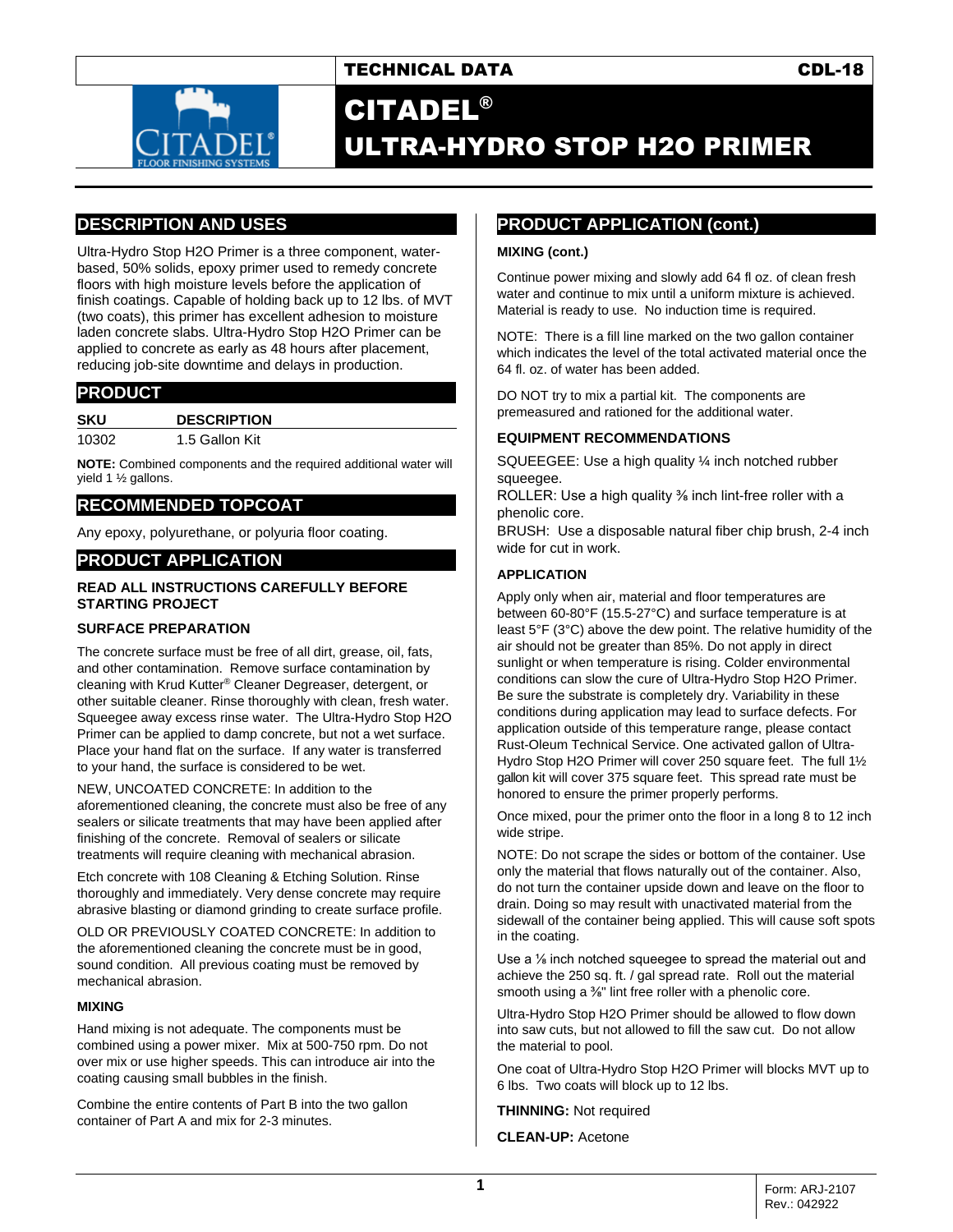

## TECHNICAL DATA CDL-18

# CITADEL® ULTRA-HYDRO STOP H2O PRIMER

## **DESCRIPTION AND USES**

Ultra-Hydro Stop H2O Primer is a three component, waterbased, 50% solids, epoxy primer used to remedy concrete floors with high moisture levels before the application of finish coatings. Capable of holding back up to 12 lbs. of MVT (two coats), this primer has excellent adhesion to moisture laden concrete slabs. Ultra-Hydro Stop H2O Primer can be applied to concrete as early as 48 hours after placement, reducing job-site downtime and delays in production.

## **PRODUCT**

| SKU   | <b>DESCRIPTION</b> |
|-------|--------------------|
| 10302 | 1.5 Gallon Kit     |

**NOTE:** Combined components and the required additional water will yield 1 ½ gallons.

## **RECOMMENDED TOPCOAT**

Any epoxy, polyurethane, or polyuria floor coating.

### **PRODUCT APPLICATION**

#### **READ ALL INSTRUCTIONS CAREFULLY BEFORE STARTING PROJECT**

#### **SURFACE PREPARATION**

The concrete surface must be free of all dirt, grease, oil, fats, and other contamination. Remove surface contamination by cleaning with Krud Kutter® Cleaner Degreaser, detergent, or other suitable cleaner. Rinse thoroughly with clean, fresh water. Squeegee away excess rinse water. The Ultra-Hydro Stop H2O Primer can be applied to damp concrete, but not a wet surface. Place your hand flat on the surface. If any water is transferred to your hand, the surface is considered to be wet.

NEW, UNCOATED CONCRETE: In addition to the aforementioned cleaning, the concrete must also be free of any sealers or silicate treatments that may have been applied after finishing of the concrete. Removal of sealers or silicate treatments will require cleaning with mechanical abrasion.

Etch concrete with 108 Cleaning & Etching Solution. Rinse thoroughly and immediately. Very dense concrete may require abrasive blasting or diamond grinding to create surface profile.

OLD OR PREVIOUSLY COATED CONCRETE: In addition to the aforementioned cleaning the concrete must be in good, sound condition. All previous coating must be removed by mechanical abrasion.

#### **MIXING**

Hand mixing is not adequate. The components must be combined using a power mixer. Mix at 500-750 rpm. Do not over mix or use higher speeds. This can introduce air into the coating causing small bubbles in the finish.

Combine the entire contents of Part B into the two gallon container of Part A and mix for 2-3 minutes.

## **PRODUCT APPLICATION (cont.)**

#### **MIXING (cont.)**

Continue power mixing and slowly add 64 fl oz. of clean fresh water and continue to mix until a uniform mixture is achieved. Material is ready to use. No induction time is required.

NOTE: There is a fill line marked on the two gallon container which indicates the level of the total activated material once the 64 fl. oz. of water has been added.

DO NOT try to mix a partial kit. The components are premeasured and rationed for the additional water.

#### **EQUIPMENT RECOMMENDATIONS**

SQUEEGEE: Use a high quality ¼ inch notched rubber squeegee.

ROLLER: Use a high quality <sup>3</sup>% inch lint-free roller with a phenolic core.

BRUSH: Use a disposable natural fiber chip brush, 2-4 inch wide for cut in work.

#### **APPLICATION**

Apply only when air, material and floor temperatures are between 60-80°F (15.5-27°C) and surface temperature is at least 5°F (3°C) above the dew point. The relative humidity of the air should not be greater than 85%. Do not apply in direct sunlight or when temperature is rising. Colder environmental conditions can slow the cure of Ultra-Hydro Stop H2O Primer. Be sure the substrate is completely dry. Variability in these conditions during application may lead to surface defects. For application outside of this temperature range, please contact Rust-Oleum Technical Service. One activated gallon of Ultra-Hydro Stop H2O Primer will cover 250 square feet. The full 1½ gallon kit will cover 375 square feet. This spread rate must be honored to ensure the primer properly performs.

Once mixed, pour the primer onto the floor in a long 8 to 12 inch wide stripe.

NOTE: Do not scrape the sides or bottom of the container. Use only the material that flows naturally out of the container. Also, do not turn the container upside down and leave on the floor to drain. Doing so may result with unactivated material from the sidewall of the container being applied. This will cause soft spots in the coating.

Use a ⅛ inch notched squeegee to spread the material out and achieve the 250 sq. ft. / gal spread rate. Roll out the material smooth using a <sup>3/8"</sup> lint free roller with a phenolic core.

Ultra-Hydro Stop H2O Primer should be allowed to flow down into saw cuts, but not allowed to fill the saw cut. Do not allow the material to pool.

One coat of Ultra-Hydro Stop H2O Primer will blocks MVT up to 6 lbs. Two coats will block up to 12 lbs.

**THINNING:** Not required

**CLEAN-UP:** Acetone